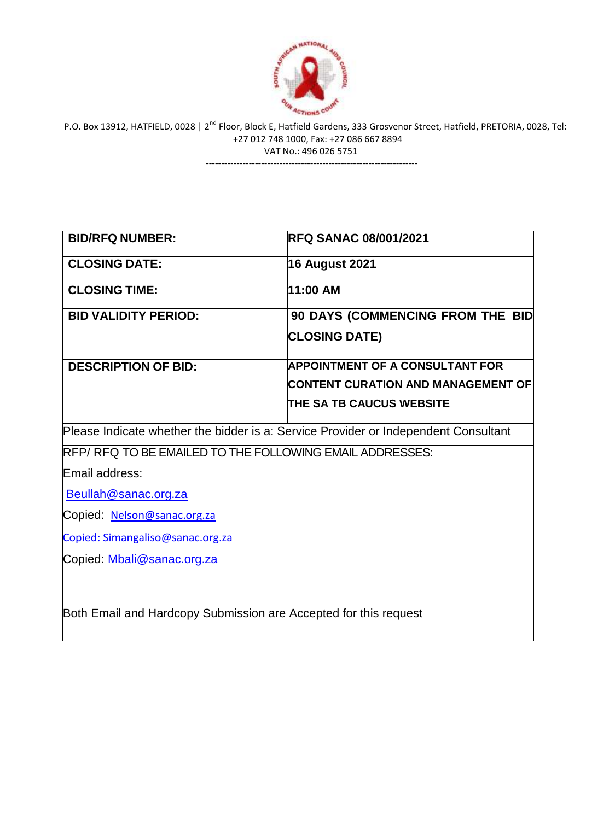

---------------------------------------------------------------------

| <b>BID/RFQ NUMBER:</b>                                                              | <b>RFQ SANAC 08/001/2021</b>              |  |
|-------------------------------------------------------------------------------------|-------------------------------------------|--|
| <b>CLOSING DATE:</b>                                                                | <b>16 August 2021</b>                     |  |
| <b>CLOSING TIME:</b>                                                                | 11:00 AM                                  |  |
| <b>BID VALIDITY PERIOD:</b>                                                         | 90 DAYS (COMMENCING FROM THE BID          |  |
|                                                                                     | <b>CLOSING DATE)</b>                      |  |
| <b>DESCRIPTION OF BID:</b>                                                          | <b>APPOINTMENT OF A CONSULTANT FOR</b>    |  |
|                                                                                     | <b>CONTENT CURATION AND MANAGEMENT OF</b> |  |
|                                                                                     | <b>THE SA TB CAUCUS WEBSITE</b>           |  |
| Please Indicate whether the bidder is a: Service Provider or Independent Consultant |                                           |  |
| RFP/RFQ TO BE EMAILED TO THE FOLLOWING EMAIL ADDRESSES:                             |                                           |  |
| Email address:                                                                      |                                           |  |
| Beullah@sanac.org.za                                                                |                                           |  |
| Copied: Nelson@sanac.org.za                                                         |                                           |  |
| Copied: Simangaliso@sanac.org.za                                                    |                                           |  |
| Copied: Mbali@sanac.org.za                                                          |                                           |  |
|                                                                                     |                                           |  |
|                                                                                     |                                           |  |
| Both Email and Hardcopy Submission are Accepted for this request                    |                                           |  |
|                                                                                     |                                           |  |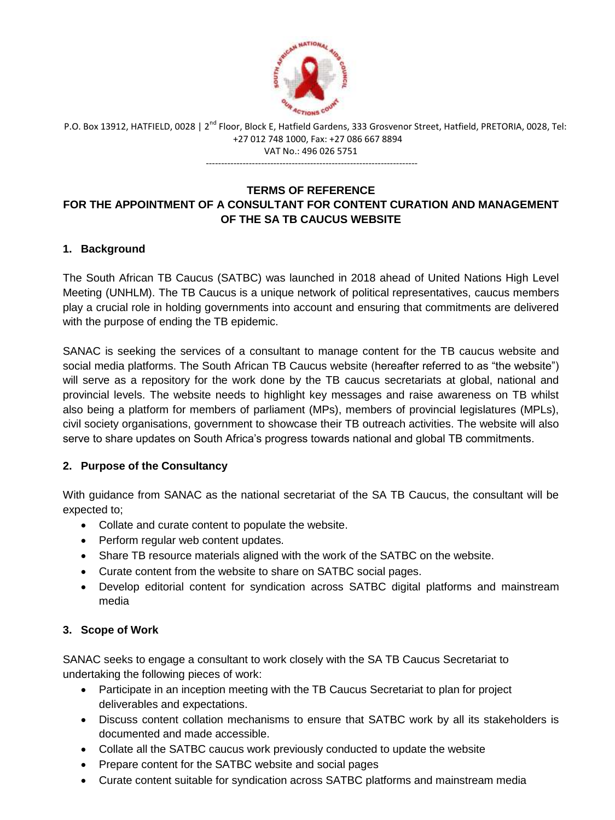

---------------------------------------------------------------------

## **TERMS OF REFERENCE FOR THE APPOINTMENT OF A CONSULTANT FOR CONTENT CURATION AND MANAGEMENT OF THE SA TB CAUCUS WEBSITE**

# **1. Background**

The South African TB Caucus (SATBC) was launched in 2018 ahead of United Nations High Level Meeting (UNHLM). The TB Caucus is a unique network of political representatives, caucus members play a crucial role in holding governments into account and ensuring that commitments are delivered with the purpose of ending the TB epidemic.

SANAC is seeking the services of a consultant to manage content for the TB caucus website and social media platforms. The South African TB Caucus website (hereafter referred to as "the website") will serve as a repository for the work done by the TB caucus secretariats at global, national and provincial levels. The website needs to highlight key messages and raise awareness on TB whilst also being a platform for members of parliament (MPs), members of provincial legislatures (MPLs), civil society organisations, government to showcase their TB outreach activities. The website will also serve to share updates on South Africa's progress towards national and global TB commitments.

## **2. Purpose of the Consultancy**

With guidance from SANAC as the national secretariat of the SA TB Caucus, the consultant will be expected to;

- Collate and curate content to populate the website.
- Perform regular web content updates.
- Share TB resource materials aligned with the work of the SATBC on the website.
- Curate content from the website to share on SATBC social pages.
- Develop editorial content for syndication across SATBC digital platforms and mainstream media

# **3. Scope of Work**

SANAC seeks to engage a consultant to work closely with the SA TB Caucus Secretariat to undertaking the following pieces of work:

- Participate in an inception meeting with the TB Caucus Secretariat to plan for project deliverables and expectations.
- Discuss content collation mechanisms to ensure that SATBC work by all its stakeholders is documented and made accessible.
- Collate all the SATBC caucus work previously conducted to update the website
- Prepare content for the SATBC website and social pages
- Curate content suitable for syndication across SATBC platforms and mainstream media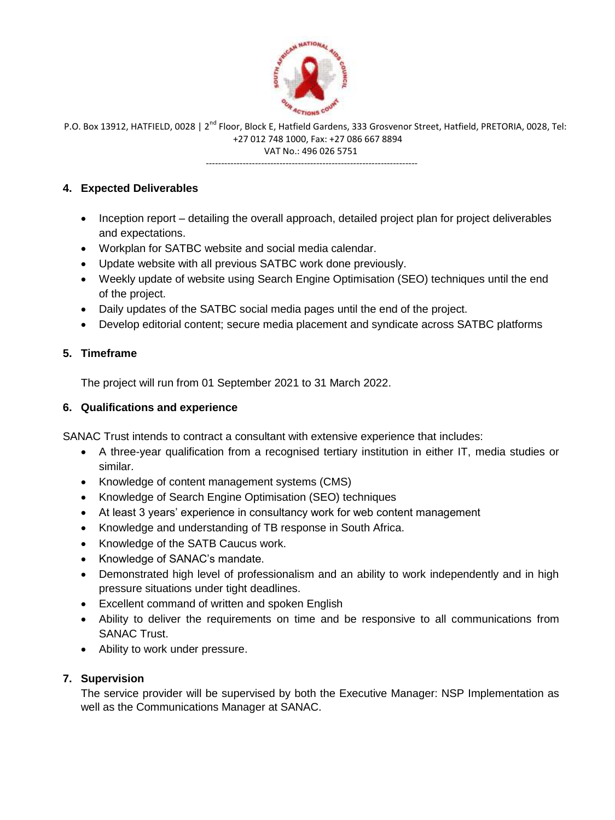

---------------------------------------------------------------------

### **4. Expected Deliverables**

- Inception report detailing the overall approach, detailed project plan for project deliverables and expectations.
- Workplan for SATBC website and social media calendar.
- Update website with all previous SATBC work done previously.
- Weekly update of website using Search Engine Optimisation (SEO) techniques until the end of the project.
- Daily updates of the SATBC social media pages until the end of the project.
- Develop editorial content; secure media placement and syndicate across SATBC platforms

### **5. Timeframe**

The project will run from 01 September 2021 to 31 March 2022.

### **6. Qualifications and experience**

SANAC Trust intends to contract a consultant with extensive experience that includes:

- A three-year qualification from a recognised tertiary institution in either IT, media studies or similar.
- Knowledge of content management systems (CMS)
- Knowledge of Search Engine Optimisation (SEO) techniques
- At least 3 years' experience in consultancy work for web content management
- Knowledge and understanding of TB response in South Africa.
- Knowledge of the SATB Caucus work.
- Knowledge of SANAC's mandate.
- Demonstrated high level of professionalism and an ability to work independently and in high pressure situations under tight deadlines.
- Excellent command of written and spoken English
- Ability to deliver the requirements on time and be responsive to all communications from SANAC Trust.
- Ability to work under pressure.

### **7. Supervision**

The service provider will be supervised by both the Executive Manager: NSP Implementation as well as the Communications Manager at SANAC.